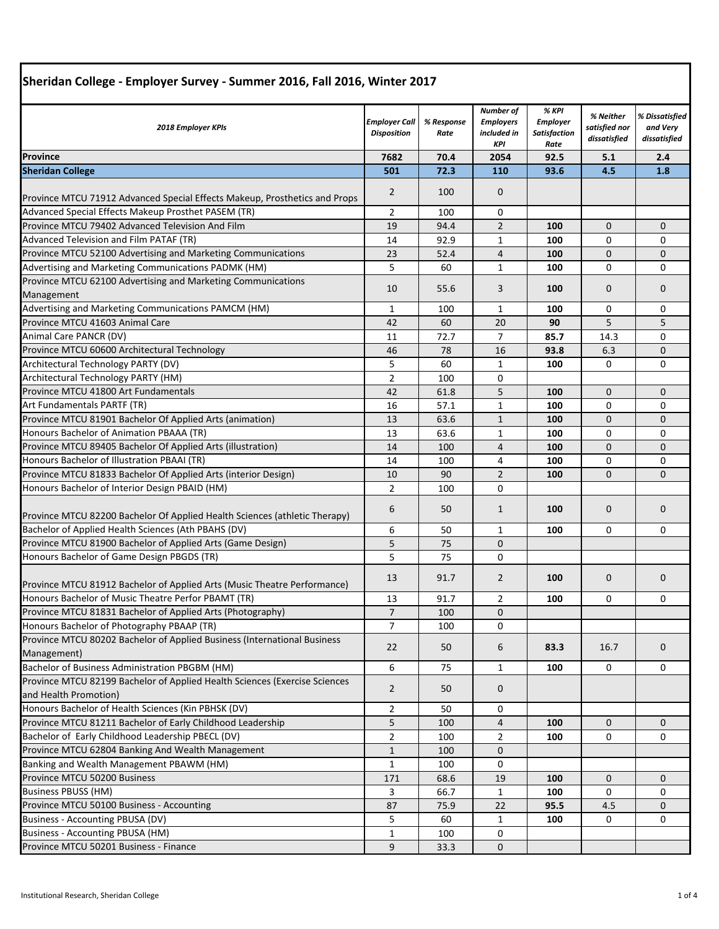| 2018 Employer KPIs                                                                                  | Employer Call<br><b>Disposition</b> | % Response<br>Rate | <b>Number of</b><br><b>Employers</b><br>included in<br><b>KPI</b> | % KPI<br><b>Employer</b><br><b>Satisfaction</b><br>Rate | % Neither<br>satisfied nor<br>dissatisfied | % Dissatisfied<br>and Very<br>dissatisfied |
|-----------------------------------------------------------------------------------------------------|-------------------------------------|--------------------|-------------------------------------------------------------------|---------------------------------------------------------|--------------------------------------------|--------------------------------------------|
| Province                                                                                            | 7682                                | 70.4               | 2054                                                              | 92.5                                                    | 5.1                                        | 2.4                                        |
| <b>Sheridan College</b>                                                                             | 501                                 | 72.3               | 110                                                               | 93.6                                                    | 4.5                                        | 1.8                                        |
|                                                                                                     |                                     |                    |                                                                   |                                                         |                                            |                                            |
| Province MTCU 71912 Advanced Special Effects Makeup, Prosthetics and Props                          | $\overline{2}$                      | 100                | $\mathbf 0$                                                       |                                                         |                                            |                                            |
| Advanced Special Effects Makeup Prosthet PASEM (TR)                                                 | 2                                   | 100                | 0                                                                 |                                                         |                                            |                                            |
| Province MTCU 79402 Advanced Television And Film                                                    | 19                                  | 94.4               | $\overline{2}$                                                    | 100                                                     | $\mathbf{0}$                               | 0                                          |
| Advanced Television and Film PATAF (TR)                                                             | 14                                  | 92.9               | 1                                                                 | 100                                                     | 0                                          | 0                                          |
| Province MTCU 52100 Advertising and Marketing Communications                                        | 23                                  | 52.4               | 4                                                                 | 100                                                     | $\mathbf{0}$                               | 0                                          |
| Advertising and Marketing Communications PADMK (HM)                                                 | 5                                   | 60                 | $\mathbf{1}$                                                      | 100                                                     | 0                                          | 0                                          |
| Province MTCU 62100 Advertising and Marketing Communications                                        |                                     |                    |                                                                   |                                                         |                                            |                                            |
| Management                                                                                          | 10                                  | 55.6               | 3                                                                 | 100                                                     | $\mathbf{0}$                               | $\mathbf{0}$                               |
| Advertising and Marketing Communications PAMCM (HM)                                                 | 1                                   | 100                | $\mathbf{1}$                                                      | 100                                                     | 0                                          | 0                                          |
| Province MTCU 41603 Animal Care                                                                     | 42                                  | 60                 | 20                                                                | 90                                                      | 5                                          | 5                                          |
| Animal Care PANCR (DV)                                                                              | 11                                  | 72.7               | $\overline{7}$                                                    | 85.7                                                    | 14.3                                       | 0                                          |
| Province MTCU 60600 Architectural Technology                                                        | 46                                  | 78                 | 16                                                                | 93.8                                                    | 6.3                                        | 0                                          |
| Architectural Technology PARTY (DV)                                                                 | 5                                   | 60                 | $\mathbf 1$                                                       | 100                                                     | 0                                          | 0                                          |
| Architectural Technology PARTY (HM)                                                                 | $\overline{2}$                      | 100                | $\mathbf 0$                                                       |                                                         |                                            |                                            |
| Province MTCU 41800 Art Fundamentals                                                                | 42                                  | 61.8               | 5                                                                 | 100                                                     | $\mathbf 0$                                | 0                                          |
| Art Fundamentals PARTF (TR)                                                                         | 16                                  | 57.1               | $\mathbf{1}$                                                      | 100                                                     | 0                                          | 0                                          |
| Province MTCU 81901 Bachelor Of Applied Arts (animation)                                            | 13                                  | 63.6               | $\mathbf{1}$                                                      | 100                                                     | $\mathbf 0$                                | 0                                          |
| Honours Bachelor of Animation PBAAA (TR)                                                            | 13                                  | 63.6               | 1                                                                 | 100                                                     | 0                                          | 0                                          |
| Province MTCU 89405 Bachelor Of Applied Arts (illustration)                                         | 14                                  | 100                | 4                                                                 | 100                                                     | $\mathbf 0$                                | $\mathbf{0}$                               |
| Honours Bachelor of Illustration PBAAI (TR)                                                         | 14                                  | 100                | 4                                                                 | 100                                                     | 0                                          | 0                                          |
| Province MTCU 81833 Bachelor Of Applied Arts (interior Design)                                      | 10                                  | 90                 | $\overline{2}$                                                    | 100                                                     | $\mathbf 0$                                | 0                                          |
| Honours Bachelor of Interior Design PBAID (HM)                                                      | 2                                   | 100                | $\mathbf 0$                                                       |                                                         |                                            |                                            |
| Province MTCU 82200 Bachelor Of Applied Health Sciences (athletic Therapy)                          | 6                                   | 50                 | $\mathbf{1}$                                                      | 100                                                     | $\mathbf 0$                                | $\mathbf{0}$                               |
| Bachelor of Applied Health Sciences (Ath PBAHS (DV)                                                 | 6                                   | 50                 |                                                                   | 100                                                     | 0                                          | 0                                          |
|                                                                                                     |                                     |                    | 1                                                                 |                                                         |                                            |                                            |
| Province MTCU 81900 Bachelor of Applied Arts (Game Design)                                          | 5<br>5                              | 75                 | $\mathbf{0}$                                                      |                                                         |                                            |                                            |
| Honours Bachelor of Game Design PBGDS (TR)                                                          |                                     | 75                 | 0                                                                 |                                                         |                                            |                                            |
| Province MTCU 81912 Bachelor of Applied Arts (Music Theatre Performance)                            | 13                                  | 91.7               | $\overline{2}$                                                    | 100                                                     | 0                                          | 0                                          |
| Honours Bachelor of Music Theatre Perfor PBAMT (TR)                                                 | 13                                  | 91.7               | 2                                                                 | 100                                                     | 0                                          | 0                                          |
| Province MTCU 81831 Bachelor of Applied Arts (Photography)                                          | $\overline{7}$                      | 100                | $\mathbf 0$                                                       |                                                         |                                            |                                            |
| Honours Bachelor of Photography PBAAP (TR)                                                          | $\overline{7}$                      | 100                | 0                                                                 |                                                         |                                            |                                            |
| Province MTCU 80202 Bachelor of Applied Business (International Business                            | 22                                  | 50                 | 6                                                                 | 83.3                                                    | 16.7                                       | $\mathbf{0}$                               |
| Management)<br>Bachelor of Business Administration PBGBM (HM)                                       |                                     |                    |                                                                   |                                                         |                                            |                                            |
|                                                                                                     | 6                                   | 75                 | $\mathbf{1}$                                                      | 100                                                     | 0                                          | 0                                          |
| Province MTCU 82199 Bachelor of Applied Health Sciences (Exercise Sciences<br>and Health Promotion) | $\overline{2}$                      | 50                 | $\mathbf 0$                                                       |                                                         |                                            |                                            |
| Honours Bachelor of Health Sciences (Kin PBHSK (DV)                                                 | $\overline{2}$                      | 50                 | 0                                                                 |                                                         |                                            |                                            |
| Province MTCU 81211 Bachelor of Early Childhood Leadership                                          | 5                                   | 100                | $\overline{4}$                                                    | 100                                                     | $\mathbf{0}$                               | $\mathbf{0}$                               |
| Bachelor of Early Childhood Leadership PBECL (DV)                                                   | $\overline{2}$                      | 100                | $\overline{2}$                                                    | 100                                                     | 0                                          | 0                                          |
| Province MTCU 62804 Banking And Wealth Management                                                   | $1\,$                               | 100                | $\mathbf 0$                                                       |                                                         |                                            |                                            |
| Banking and Wealth Management PBAWM (HM)                                                            | $\mathbf{1}$                        | 100                | $\mathbf 0$                                                       |                                                         |                                            |                                            |
| Province MTCU 50200 Business                                                                        | 171                                 | 68.6               | 19                                                                | 100                                                     | $\mathbf{0}$                               | 0                                          |
| <b>Business PBUSS (HM)</b>                                                                          | 3                                   | 66.7               | 1                                                                 | 100                                                     | 0                                          | 0                                          |
| Province MTCU 50100 Business - Accounting                                                           | 87                                  | 75.9               | 22                                                                | 95.5                                                    | 4.5                                        | 0                                          |
| Business - Accounting PBUSA (DV)                                                                    | 5                                   | 60                 | 1                                                                 | 100                                                     | 0                                          | 0                                          |
| <b>Business - Accounting PBUSA (HM)</b>                                                             | 1                                   | 100                | 0                                                                 |                                                         |                                            |                                            |
| Province MTCU 50201 Business - Finance                                                              | 9                                   | 33.3               | $\mathbf{0}$                                                      |                                                         |                                            |                                            |
|                                                                                                     |                                     |                    |                                                                   |                                                         |                                            |                                            |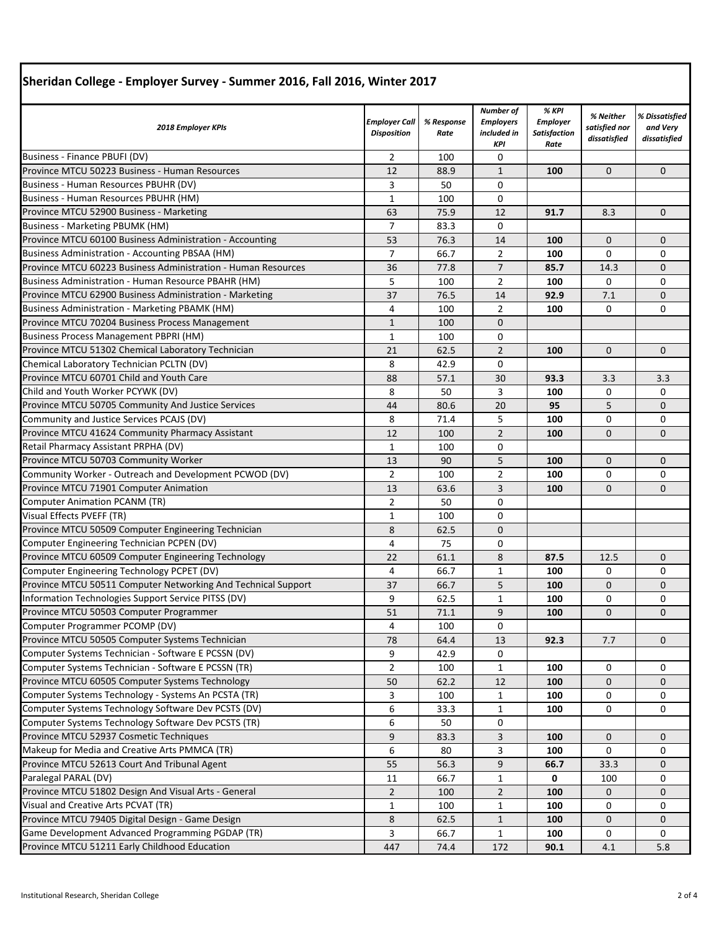| Silendah College - Employer Survey - Summer 2010, Fail 2010, Willter 2017 |                                            |                    |                                                            |                                                         |                                            |                                            |  |
|---------------------------------------------------------------------------|--------------------------------------------|--------------------|------------------------------------------------------------|---------------------------------------------------------|--------------------------------------------|--------------------------------------------|--|
| 2018 Employer KPIs                                                        | <b>Employer Call</b><br><b>Disposition</b> | % Response<br>Rate | Number of<br><b>Employers</b><br>included in<br><b>KPI</b> | % KPI<br><b>Employer</b><br><b>Satisfaction</b><br>Rate | % Neither<br>satisfied nor<br>dissatisfied | % Dissatisfied<br>and Very<br>dissatisfied |  |
| Business - Finance PBUFI (DV)                                             | $\overline{2}$                             | 100                | 0                                                          |                                                         |                                            |                                            |  |
| Province MTCU 50223 Business - Human Resources                            | 12                                         | 88.9               | $\mathbf{1}$                                               | 100                                                     | $\mathbf{0}$                               | $\mathbf{0}$                               |  |
| Business - Human Resources PBUHR (DV)                                     | 3                                          | 50                 | 0                                                          |                                                         |                                            |                                            |  |
| Business - Human Resources PBUHR (HM)                                     | $\mathbf{1}$                               | 100                | 0                                                          |                                                         |                                            |                                            |  |
| Province MTCU 52900 Business - Marketing                                  | 63                                         | 75.9               | 12                                                         | 91.7                                                    | 8.3                                        | 0                                          |  |
| <b>Business - Marketing PBUMK (HM)</b>                                    | 7                                          | 83.3               | 0                                                          |                                                         |                                            |                                            |  |
| Province MTCU 60100 Business Administration - Accounting                  | 53                                         | 76.3               | 14                                                         | 100                                                     | $\mathbf{0}$                               | $\mathbf{0}$                               |  |
| <b>Business Administration - Accounting PBSAA (HM)</b>                    | $\overline{7}$                             | 66.7               | 2                                                          | 100                                                     | 0                                          | 0                                          |  |
| Province MTCU 60223 Business Administration - Human Resources             | 36                                         | 77.8               | $\overline{7}$                                             | 85.7                                                    | 14.3                                       | 0                                          |  |
| Business Administration - Human Resource PBAHR (HM)                       | 5                                          | 100                | $\overline{2}$                                             | 100                                                     | 0                                          | 0                                          |  |
| Province MTCU 62900 Business Administration - Marketing                   | 37                                         | 76.5               | 14                                                         | 92.9                                                    | 7.1                                        | 0                                          |  |
| <b>Business Administration - Marketing PBAMK (HM)</b>                     | 4                                          | 100                | 2                                                          | 100                                                     | 0                                          | 0                                          |  |
| Province MTCU 70204 Business Process Management                           | $\mathbf{1}$                               | 100                | $\mathbf 0$                                                |                                                         |                                            |                                            |  |
| <b>Business Process Management PBPRI (HM)</b>                             | $\mathbf{1}$                               | 100                | 0                                                          |                                                         |                                            |                                            |  |
| Province MTCU 51302 Chemical Laboratory Technician                        | 21                                         | 62.5               | $\overline{2}$                                             | 100                                                     | $\mathbf{0}$                               | 0                                          |  |
| Chemical Laboratory Technician PCLTN (DV)                                 | 8                                          | 42.9               | 0                                                          |                                                         |                                            |                                            |  |
| Province MTCU 60701 Child and Youth Care                                  | 88                                         | 57.1               | 30                                                         | 93.3                                                    | 3.3                                        | 3.3                                        |  |
| Child and Youth Worker PCYWK (DV)                                         | 8                                          | 50                 | 3                                                          | 100                                                     | 0                                          | 0                                          |  |
| Province MTCU 50705 Community And Justice Services                        | 44                                         | 80.6               | 20                                                         | 95                                                      | 5                                          | 0                                          |  |
| Community and Justice Services PCAJS (DV)                                 | 8                                          | 71.4               | 5                                                          | 100                                                     | 0                                          | 0                                          |  |
| Province MTCU 41624 Community Pharmacy Assistant                          | 12                                         | 100                | $\overline{2}$                                             | 100                                                     | $\mathbf 0$                                | 0                                          |  |
| Retail Pharmacy Assistant PRPHA (DV)                                      | $\mathbf{1}$                               | 100                | $\mathbf 0$                                                |                                                         |                                            |                                            |  |
| Province MTCU 50703 Community Worker                                      | 13                                         | 90                 | 5                                                          | 100                                                     | $\Omega$                                   | 0                                          |  |
| Community Worker - Outreach and Development PCWOD (DV)                    | $\overline{2}$                             | 100                | $\overline{2}$                                             | 100                                                     | 0                                          | 0                                          |  |
| Province MTCU 71901 Computer Animation                                    | 13                                         | 63.6               | 3                                                          | 100                                                     | $\mathbf 0$                                | 0                                          |  |
| <b>Computer Animation PCANM (TR)</b>                                      | $\overline{2}$                             | 50                 | 0                                                          |                                                         |                                            |                                            |  |
| Visual Effects PVEFF (TR)                                                 | $\mathbf{1}$                               | 100                | 0                                                          |                                                         |                                            |                                            |  |
| Province MTCU 50509 Computer Engineering Technician                       | 8                                          | 62.5               | 0                                                          |                                                         |                                            |                                            |  |
| Computer Engineering Technician PCPEN (DV)                                | 4                                          | 75                 | 0                                                          |                                                         |                                            |                                            |  |
| Province MTCU 60509 Computer Engineering Technology                       | 22                                         | 61.1               | 8                                                          | 87.5                                                    | 12.5                                       | 0                                          |  |
| Computer Engineering Technology PCPET (DV)                                | 4                                          | 66.7               | $\mathbf{1}$                                               | 100                                                     | 0                                          | 0                                          |  |
| Province MTCU 50511 Computer Networking And Technical Support             | 37                                         | 66.7               | 5                                                          | 100                                                     | $\mathbf 0$                                | 0                                          |  |
| Information Technologies Support Service PITSS (DV)                       | 9                                          | 62.5               | 1                                                          | 100                                                     | 0                                          | 0                                          |  |
| Province MTCU 50503 Computer Programmer                                   | 51                                         | 71.1               | 9                                                          | 100                                                     | 0                                          | 0                                          |  |
| Computer Programmer PCOMP (DV)                                            | 4                                          | 100                | 0                                                          |                                                         |                                            |                                            |  |
| Province MTCU 50505 Computer Systems Technician                           | 78                                         | 64.4               | 13                                                         | 92.3                                                    | 7.7                                        | $\mathbf{0}$                               |  |
| Computer Systems Technician - Software E PCSSN (DV)                       | 9                                          | 42.9               | 0                                                          |                                                         |                                            |                                            |  |
| Computer Systems Technician - Software E PCSSN (TR)                       | $\overline{2}$                             | 100                | 1                                                          | 100                                                     | 0                                          | 0                                          |  |
| Province MTCU 60505 Computer Systems Technology                           | 50                                         | 62.2               | 12                                                         | 100                                                     | 0                                          | $\mathbf{0}$                               |  |
| Computer Systems Technology - Systems An PCSTA (TR)                       | 3                                          | 100                | 1                                                          | 100                                                     | 0                                          | 0                                          |  |
| Computer Systems Technology Software Dev PCSTS (DV)                       | 6                                          | 33.3               | 1                                                          | 100                                                     | 0                                          | 0                                          |  |
| Computer Systems Technology Software Dev PCSTS (TR)                       | 6                                          | 50                 | $\Omega$                                                   |                                                         |                                            |                                            |  |
| Province MTCU 52937 Cosmetic Techniques                                   | 9                                          | 83.3               | 3                                                          | 100                                                     | 0                                          | 0                                          |  |
| Makeup for Media and Creative Arts PMMCA (TR)                             | 6                                          | 80                 | 3                                                          | 100                                                     | 0                                          | 0                                          |  |
| Province MTCU 52613 Court And Tribunal Agent                              | 55                                         | 56.3               | 9                                                          | 66.7                                                    | 33.3                                       | 0                                          |  |
| Paralegal PARAL (DV)                                                      | 11                                         | 66.7               | 1                                                          | 0                                                       | 100                                        | 0                                          |  |
| Province MTCU 51802 Design And Visual Arts - General                      | $\overline{2}$                             | 100                | $\overline{2}$                                             | 100                                                     | 0                                          | 0                                          |  |
| Visual and Creative Arts PCVAT (TR)                                       | $\mathbf{1}$                               | 100                | 1                                                          | 100                                                     | 0                                          | 0                                          |  |
| Province MTCU 79405 Digital Design - Game Design                          | 8                                          | 62.5               | $\mathbf{1}$                                               | 100                                                     | $\mathbf{0}$                               | 0                                          |  |
| Game Development Advanced Programming PGDAP (TR)                          | 3                                          | 66.7               | $\mathbf{1}$                                               | 100                                                     | 0                                          | 0                                          |  |
| Province MTCU 51211 Early Childhood Education                             | 447                                        | 74.4               | 172                                                        | 90.1                                                    | 4.1                                        | 5.8                                        |  |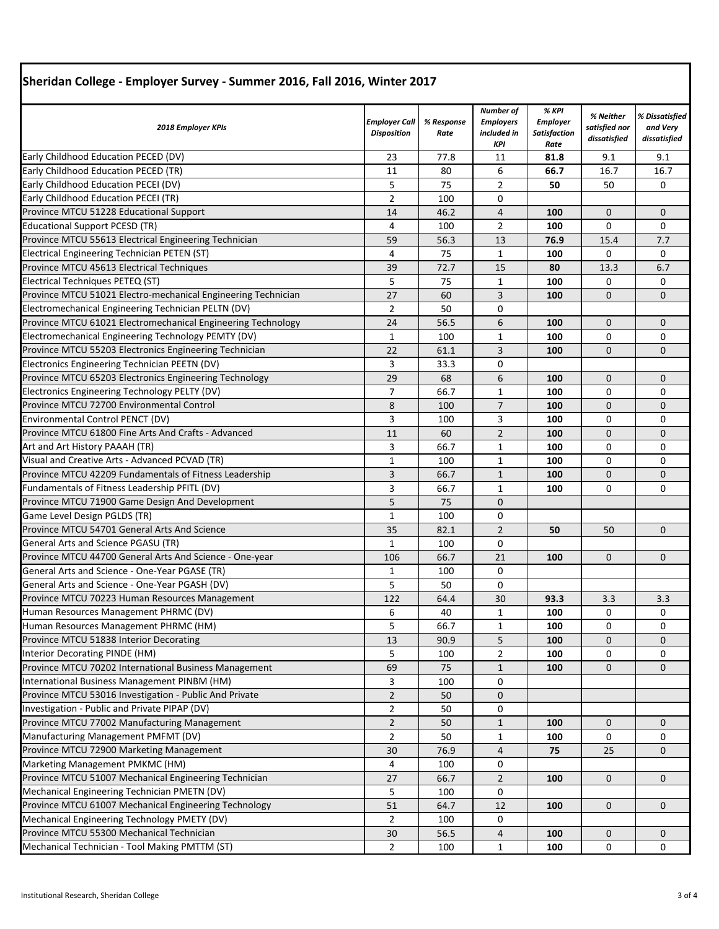| $P$ , and not concept - Employer burvey - Summer 2010, run 2010, while $P$              |                                            |                    |                                                            |                                                         |                                            |                                            |  |
|-----------------------------------------------------------------------------------------|--------------------------------------------|--------------------|------------------------------------------------------------|---------------------------------------------------------|--------------------------------------------|--------------------------------------------|--|
| 2018 Employer KPIs                                                                      | <b>Employer Call</b><br><b>Disposition</b> | % Response<br>Rate | Number of<br><b>Employers</b><br>included in<br><b>KPI</b> | % KPI<br><b>Employer</b><br><b>Satisfaction</b><br>Rate | % Neither<br>satisfied nor<br>dissatisfied | % Dissatisfied<br>and Very<br>dissatisfied |  |
| Early Childhood Education PECED (DV)                                                    | 23                                         | 77.8               | 11                                                         | 81.8                                                    | 9.1                                        | 9.1                                        |  |
| Early Childhood Education PECED (TR)                                                    | 11                                         | 80                 | 6                                                          | 66.7                                                    | 16.7                                       | 16.7                                       |  |
| Early Childhood Education PECEI (DV)                                                    | 5                                          | 75                 | $\overline{2}$                                             | 50                                                      | 50                                         | 0                                          |  |
| Early Childhood Education PECEI (TR)                                                    | $\overline{2}$                             | 100                | 0                                                          |                                                         |                                            |                                            |  |
| Province MTCU 51228 Educational Support                                                 | 14                                         | 46.2               | $\overline{4}$                                             | 100                                                     | $\mathbf 0$                                | $\mathbf{0}$                               |  |
| <b>Educational Support PCESD (TR)</b>                                                   | 4                                          | 100                | $\overline{2}$                                             | 100                                                     | $\mathbf 0$                                | 0                                          |  |
| Province MTCU 55613 Electrical Engineering Technician                                   | 59                                         | 56.3               | 13                                                         | 76.9                                                    | 15.4                                       | 7.7                                        |  |
| Electrical Engineering Technician PETEN (ST)                                            | 4                                          | 75                 | $\mathbf{1}$                                               | 100                                                     | 0                                          | 0                                          |  |
| Province MTCU 45613 Electrical Techniques                                               | 39                                         | 72.7               | 15                                                         | 80                                                      | 13.3                                       | 6.7                                        |  |
| Electrical Techniques PETEQ (ST)                                                        | 5                                          | 75                 | 1                                                          | 100                                                     | 0                                          | 0                                          |  |
| Province MTCU 51021 Electro-mechanical Engineering Technician                           | 27                                         | 60                 | 3                                                          | 100                                                     | $\mathbf 0$                                | $\mathbf{0}$                               |  |
| Electromechanical Engineering Technician PELTN (DV)                                     | $\overline{2}$                             | 50                 | $\mathbf 0$                                                |                                                         |                                            |                                            |  |
| Province MTCU 61021 Electromechanical Engineering Technology                            | 24                                         | 56.5               | 6                                                          | 100                                                     | $\mathbf 0$                                | 0                                          |  |
| Electromechanical Engineering Technology PEMTY (DV)                                     | $\mathbf{1}$                               | 100                | 1                                                          | 100                                                     | 0                                          | 0                                          |  |
| Province MTCU 55203 Electronics Engineering Technician                                  | 22                                         | 61.1               | 3                                                          | 100                                                     | $\mathbf 0$                                | $\mathbf{0}$                               |  |
| Electronics Engineering Technician PEETN (DV)                                           | 3                                          | 33.3               | $\mathbf 0$                                                |                                                         |                                            |                                            |  |
| Province MTCU 65203 Electronics Engineering Technology                                  | 29                                         | 68                 | 6                                                          | 100                                                     | $\mathbf 0$                                | 0                                          |  |
| Electronics Engineering Technology PELTY (DV)                                           | $\overline{7}$                             | 66.7               | 1                                                          | 100                                                     | 0                                          | 0                                          |  |
| Province MTCU 72700 Environmental Control                                               | 8                                          | 100                | $\overline{7}$                                             | 100                                                     | $\mathbf 0$                                | 0                                          |  |
| Environmental Control PENCT (DV)                                                        | 3                                          | 100                | 3                                                          | 100                                                     | 0                                          | 0                                          |  |
| Province MTCU 61800 Fine Arts And Crafts - Advanced                                     | 11                                         | 60                 | $\overline{2}$                                             | 100                                                     | $\mathbf 0$                                | $\mathbf{0}$                               |  |
| Art and Art History PAAAH (TR)                                                          | 3                                          | 66.7               | 1                                                          | 100                                                     | 0                                          | 0                                          |  |
| Visual and Creative Arts - Advanced PCVAD (TR)                                          | $\mathbf{1}$                               | 100                | $\mathbf{1}$                                               | 100                                                     | 0                                          | 0                                          |  |
| Province MTCU 42209 Fundamentals of Fitness Leadership                                  | 3                                          | 66.7               |                                                            | 100                                                     | $\mathbf 0$                                | 0                                          |  |
| Fundamentals of Fitness Leadership PFITL (DV)                                           | 3                                          | 66.7               | $\mathbf{1}$<br>1                                          | 100                                                     | 0                                          | 0                                          |  |
|                                                                                         |                                            |                    |                                                            |                                                         |                                            |                                            |  |
| Province MTCU 71900 Game Design And Development<br>Game Level Design PGLDS (TR)         | 5<br>$\mathbf{1}$                          | 75<br>100          | $\mathbf 0$<br>0                                           |                                                         |                                            |                                            |  |
| Province MTCU 54701 General Arts And Science                                            | 35                                         | 82.1               | $\overline{2}$                                             | 50                                                      | 50                                         | $\mathbf{0}$                               |  |
| General Arts and Science PGASU (TR)                                                     |                                            |                    |                                                            |                                                         |                                            |                                            |  |
| Province MTCU 44700 General Arts And Science - One-year                                 | $\mathbf{1}$                               | 100                | 0                                                          |                                                         |                                            |                                            |  |
| General Arts and Science - One-Year PGASE (TR)                                          | 106                                        | 66.7               | 21<br>0                                                    | 100                                                     | $\mathbf 0$                                | 0                                          |  |
|                                                                                         | $\mathbf{1}$                               | 100                |                                                            |                                                         |                                            |                                            |  |
| General Arts and Science - One-Year PGASH (DV)                                          | 5                                          | 50                 | 0                                                          |                                                         |                                            |                                            |  |
| Province MTCU 70223 Human Resources Management<br>Human Resources Management PHRMC (DV) | 122                                        | 64.4               | 30                                                         | 93.3                                                    | 3.3                                        | 3.3                                        |  |
|                                                                                         | 6<br>5                                     | 40                 | 1                                                          | 100                                                     | U                                          | U                                          |  |
| Human Resources Management PHRMC (HM)                                                   | 13                                         | 66.7               | $\mathbf{1}$                                               | 100                                                     | 0                                          | 0                                          |  |
| Province MTCU 51838 Interior Decorating                                                 |                                            | 90.9               | 5                                                          | 100                                                     | 0                                          | 0                                          |  |
| Interior Decorating PINDE (HM)                                                          | 5                                          | 100                | $\overline{2}$                                             | 100                                                     | 0                                          | 0                                          |  |
| Province MTCU 70202 International Business Management                                   | 69                                         | 75                 | $\mathbf{1}$                                               | 100                                                     | $\mathbf 0$                                | 0                                          |  |
| International Business Management PINBM (HM)                                            | 3                                          | 100                | 0                                                          |                                                         |                                            |                                            |  |
| Province MTCU 53016 Investigation - Public And Private                                  | $\overline{2}$                             | 50                 | $\mathbf{0}$                                               |                                                         |                                            |                                            |  |
| Investigation - Public and Private PIPAP (DV)                                           | $\overline{2}$                             | 50                 | 0                                                          |                                                         |                                            |                                            |  |
| Province MTCU 77002 Manufacturing Management                                            | $\overline{2}$                             | 50                 | $\mathbf{1}$                                               | 100                                                     | 0                                          | 0                                          |  |
| Manufacturing Management PMFMT (DV)                                                     | $\overline{2}$                             | 50                 | 1                                                          | 100                                                     | 0                                          | 0                                          |  |
| Province MTCU 72900 Marketing Management                                                | 30                                         | 76.9               | $\overline{4}$                                             | 75                                                      | 25                                         | 0                                          |  |
| Marketing Management PMKMC (HM)                                                         | 4                                          | 100                | 0                                                          |                                                         |                                            |                                            |  |
| Province MTCU 51007 Mechanical Engineering Technician                                   | 27                                         | 66.7               | $\overline{2}$                                             | 100                                                     | $\mathbf{0}$                               | $\mathbf{0}$                               |  |
| Mechanical Engineering Technician PMETN (DV)                                            | 5                                          | 100                | 0                                                          |                                                         |                                            |                                            |  |
| Province MTCU 61007 Mechanical Engineering Technology                                   | 51                                         | 64.7               | 12                                                         | 100                                                     | 0                                          | 0                                          |  |
| Mechanical Engineering Technology PMETY (DV)                                            | 2                                          | 100                | 0                                                          |                                                         |                                            |                                            |  |
| Province MTCU 55300 Mechanical Technician                                               | 30                                         | 56.5               | $\overline{4}$                                             | 100                                                     | 0                                          | 0                                          |  |
| Mechanical Technician - Tool Making PMTTM (ST)                                          | $\overline{2}$                             | 100                | 1                                                          | 100                                                     | 0                                          | 0                                          |  |